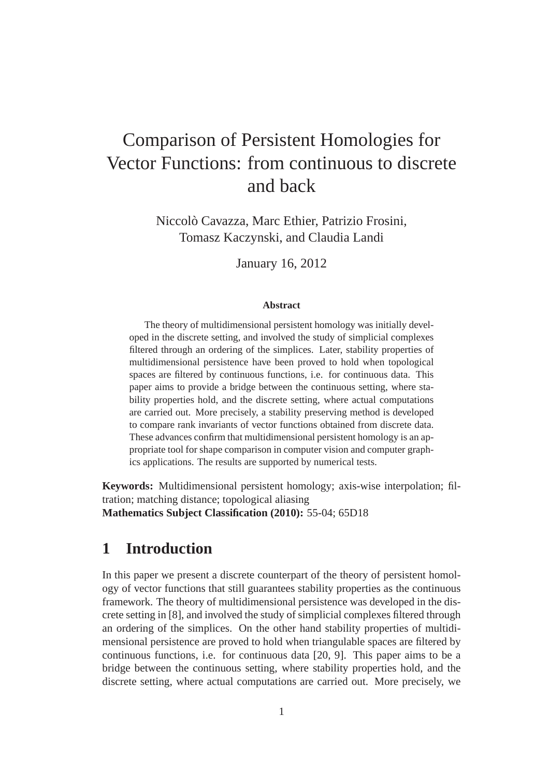# Comparison of Persistent Homologies for Vector Functions: from continuous to discrete and back

Niccolo Cavazza, Marc Ethier, Patrizio Frosini, ` Tomasz Kaczynski, and Claudia Landi

January 16, 2012

### **Abstract**

The theory of multidimensional persistent homology was initially developed in the discrete setting, and involved the study of simplicial complexes filtered through an ordering of the simplices. Later, stability properties of multidimensional persistence have been proved to hold when topological spaces are filtered by continuous functions, i.e. for continuous data. This paper aims to provide a bridge between the continuous setting, where stability properties hold, and the discrete setting, where actual computations are carried out. More precisely, a stability preserving method is developed to compare rank invariants of vector functions obtained from discrete data. These advances confirm that multidimensional persistent homology is an appropriate tool for shape comparison in computer vision and computer graphics applications. The results are supported by numerical tests.

**Keywords:** Multidimensional persistent homology; axis-wise interpolation; filtration; matching distance; topological aliasing **Mathematics Subject Classification (2010):** 55-04; 65D18

## **1 Introduction**

In this paper we present a discrete counterpart of the theory of persistent homology of vector functions that still guarantees stability properties as the continuous framework. The theory of multidimensional persistence was developed in the discrete setting in [8], and involved the study of simplicial complexes filtered through an ordering of the simplices. On the other hand stability properties of multidimensional persistence are proved to hold when triangulable spaces are filtered by continuous functions, i.e. for continuous data [20, 9]. This paper aims to be a bridge between the continuous setting, where stability properties hold, and the discrete setting, where actual computations are carried out. More precisely, we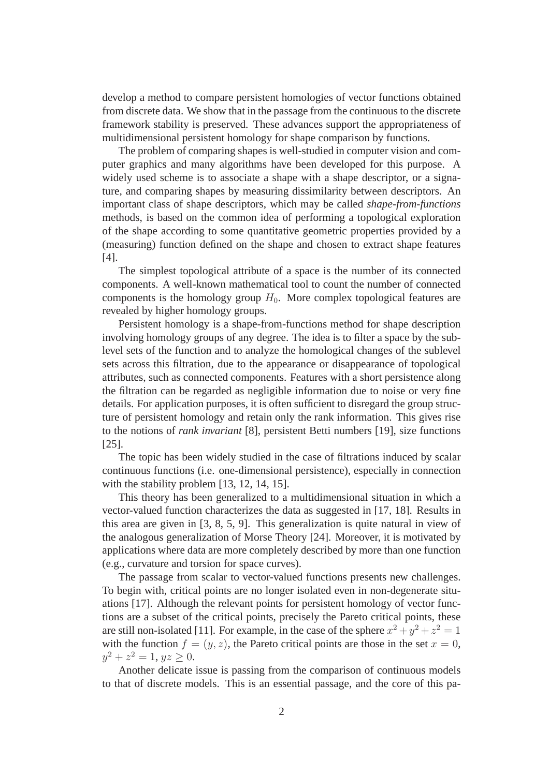develop a method to compare persistent homologies of vector functions obtained from discrete data. We show that in the passage from the continuous to the discrete framework stability is preserved. These advances support the appropriateness of multidimensional persistent homology for shape comparison by functions.

The problem of comparing shapes is well-studied in computer vision and computer graphics and many algorithms have been developed for this purpose. A widely used scheme is to associate a shape with a shape descriptor, or a signature, and comparing shapes by measuring dissimilarity between descriptors. An important class of shape descriptors, which may be called *shape-from-functions* methods, is based on the common idea of performing a topological exploration of the shape according to some quantitative geometric properties provided by a (measuring) function defined on the shape and chosen to extract shape features [4].

The simplest topological attribute of a space is the number of its connected components. A well-known mathematical tool to count the number of connected components is the homology group  $H_0$ . More complex topological features are revealed by higher homology groups.

Persistent homology is a shape-from-functions method for shape description involving homology groups of any degree. The idea is to filter a space by the sublevel sets of the function and to analyze the homological changes of the sublevel sets across this filtration, due to the appearance or disappearance of topological attributes, such as connected components. Features with a short persistence along the filtration can be regarded as negligible information due to noise or very fine details. For application purposes, it is often sufficient to disregard the group structure of persistent homology and retain only the rank information. This gives rise to the notions of *rank invariant* [8], persistent Betti numbers [19], size functions [25].

The topic has been widely studied in the case of filtrations induced by scalar continuous functions (i.e. one-dimensional persistence), especially in connection with the stability problem [13, 12, 14, 15].

This theory has been generalized to a multidimensional situation in which a vector-valued function characterizes the data as suggested in [17, 18]. Results in this area are given in [3, 8, 5, 9]. This generalization is quite natural in view of the analogous generalization of Morse Theory [24]. Moreover, it is motivated by applications where data are more completely described by more than one function (e.g., curvature and torsion for space curves).

The passage from scalar to vector-valued functions presents new challenges. To begin with, critical points are no longer isolated even in non-degenerate situations [17]. Although the relevant points for persistent homology of vector functions are a subset of the critical points, precisely the Pareto critical points, these are still non-isolated [11]. For example, in the case of the sphere  $x^2 + y^2 + z^2 = 1$ with the function  $f = (y, z)$ , the Pareto critical points are those in the set  $x = 0$ ,  $y^2 + z^2 = 1, yz \ge 0.$ 

Another delicate issue is passing from the comparison of continuous models to that of discrete models. This is an essential passage, and the core of this pa-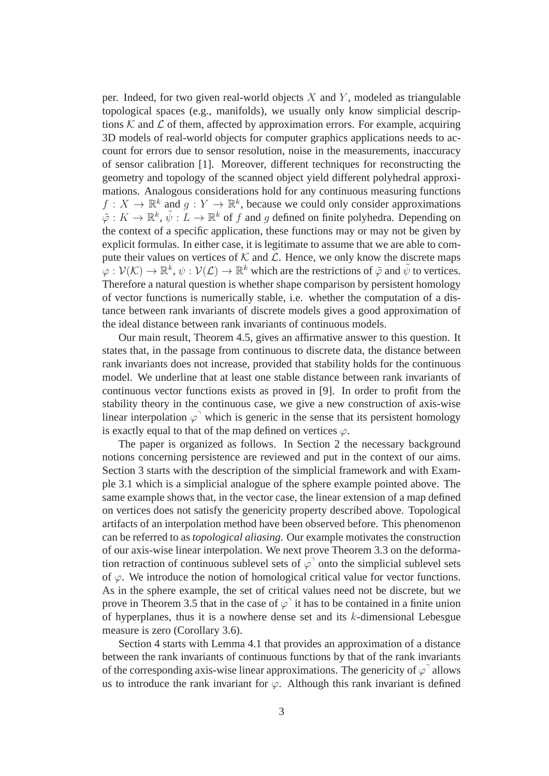per. Indeed, for two given real-world objects  $X$  and  $Y$ , modeled as triangulable topological spaces (e.g., manifolds), we usually only know simplicial descriptions  $K$  and  $\mathcal L$  of them, affected by approximation errors. For example, acquiring 3D models of real-world objects for computer graphics applications needs to account for errors due to sensor resolution, noise in the measurements, inaccuracy of sensor calibration [1]. Moreover, different techniques for reconstructing the geometry and topology of the scanned object yield different polyhedral approximations. Analogous considerations hold for any continuous measuring functions  $f: X \to \mathbb{R}^k$  and  $g: Y \to \mathbb{R}^k$ , because we could only consider approximations  $\tilde{\varphi}: K \to \mathbb{R}^k$ ,  $\tilde{\psi}: L \to \mathbb{R}^k$  of f and g defined on finite polyhedra. Depending on the context of a specific application, these functions may or may not be given by explicit formulas. In either case, it is legitimate to assume that we are able to compute their values on vertices of  $K$  and  $\mathcal{L}$ . Hence, we only know the discrete maps  $\bar{\varphi}: \mathcal{V}(\mathcal{K}) \to \mathbb{R}^k$ ,  $\psi: \mathcal{V}(\mathcal{L}) \to \mathbb{R}^k$  which are the restrictions of  $\tilde{\varphi}$  and  $\tilde{\psi}$  to vertices. Therefore a natural question is whether shape comparison by persistent homology of vector functions is numerically stable, i.e. whether the computation of a distance between rank invariants of discrete models gives a good approximation of the ideal distance between rank invariants of continuous models.

Our main result, Theorem 4.5, gives an affirmative answer to this question. It states that, in the passage from continuous to discrete data, the distance between rank invariants does not increase, provided that stability holds for the continuous model. We underline that at least one stable distance between rank invariants of continuous vector functions exists as proved in [9]. In order to profit from the stability theory in the continuous case, we give a new construction of axis-wise linear interpolation  $\varphi^{\dagger}$  which is generic in the sense that its persistent homology is exactly equal to that of the map defined on vertices  $\varphi$ .

The paper is organized as follows. In Section 2 the necessary background notions concerning persistence are reviewed and put in the context of our aims. Section 3 starts with the description of the simplicial framework and with Example 3.1 which is a simplicial analogue of the sphere example pointed above. The same example shows that, in the vector case, the linear extension of a map defined on vertices does not satisfy the genericity property described above. Topological artifacts of an interpolation method have been observed before. This phenomenon can be referred to as *topological aliasing*. Our example motivates the construction of our axis-wise linear interpolation. We next prove Theorem 3.3 on the deformation retraction of continuous sublevel sets of  $\varphi$ <sup>-</sup> onto the simplicial sublevel sets of  $\varphi$ . We introduce the notion of homological critical value for vector functions. As in the sphere example, the set of critical values need not be discrete, but we prove in Theorem 3.5 that in the case of  $\varphi$ <sup>1</sup> it has to be contained in a finite union of hyperplanes, thus it is a nowhere dense set and its  $k$ -dimensional Lebesgue measure is zero (Corollary 3.6).

Section 4 starts with Lemma 4.1 that provides an approximation of a distance between the rank invariants of continuous functions by that of the rank invariants of the corresponding axis-wise linear approximations. The genericity of  $\varphi^{\dagger}$  allows us to introduce the rank invariant for  $\varphi$ . Although this rank invariant is defined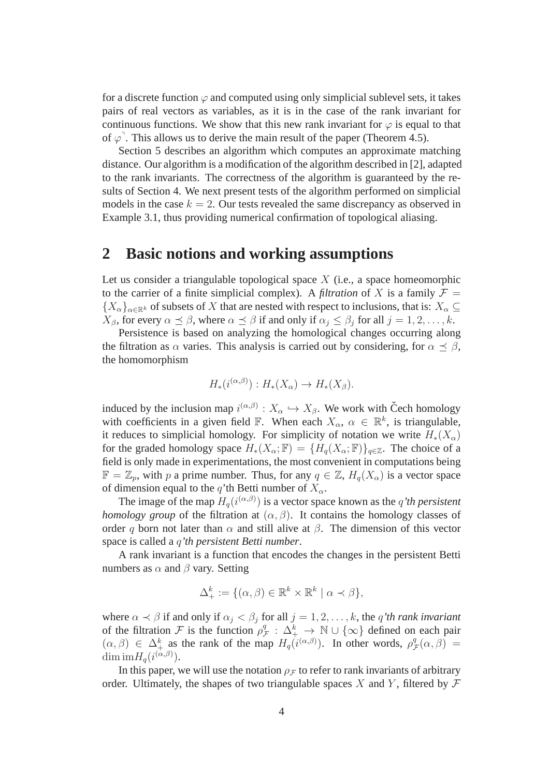for a discrete function  $\varphi$  and computed using only simplicial sublevel sets, it takes pairs of real vectors as variables, as it is in the case of the rank invariant for continuous functions. We show that this new rank invariant for  $\varphi$  is equal to that of  $\varphi$ <sup>7</sup>. This allows us to derive the main result of the paper (Theorem 4.5).

Section 5 describes an algorithm which computes an approximate matching distance. Our algorithm is a modification of the algorithm described in [2], adapted to the rank invariants. The correctness of the algorithm is guaranteed by the results of Section 4. We next present tests of the algorithm performed on simplicial models in the case  $k = 2$ . Our tests revealed the same discrepancy as observed in Example 3.1, thus providing numerical confirmation of topological aliasing.

## **2 Basic notions and working assumptions**

Let us consider a triangulable topological space  $X$  (i.e., a space homeomorphic to the carrier of a finite simplicial complex). A *filtration* of X is a family  $\mathcal{F} =$  ${X_{\alpha}}_{\alpha\in\mathbb{R}^k}$  of subsets of X that are nested with respect to inclusions, that is:  $X_{\alpha} \subseteq$  $X_{\beta}$ , for every  $\alpha \preceq \beta$ , where  $\alpha \preceq \beta$  if and only if  $\alpha_j \leq \beta_j$  for all  $j = 1, 2, ..., k$ .

Persistence is based on analyzing the homological changes occurring along the filtration as  $\alpha$  varies. This analysis is carried out by considering, for  $\alpha \preceq \beta$ , the homomorphism

$$
H_*(i^{(\alpha,\beta)}): H_*(X_\alpha) \to H_*(X_\beta).
$$

induced by the inclusion map  $i^{(\alpha,\beta)}: X_\alpha \hookrightarrow X_\beta$ . We work with Čech homology with coefficients in a given field  $\mathbb{F}$ . When each  $X_{\alpha}$ ,  $\alpha \in \mathbb{R}^{k}$ , is triangulable, it reduces to simplicial homology. For simplicity of notation we write  $H_*(X_\alpha)$ for the graded homology space  $H_*(X_\alpha;\mathbb{F}) = \{H_q(X_\alpha;\mathbb{F})\}_{q\in\mathbb{Z}}$ . The choice of a field is only made in experimentations, the most convenient in computations being  $\mathbb{F} = \mathbb{Z}_p$ , with p a prime number. Thus, for any  $q \in \mathbb{Z}$ ,  $H_q(X_\alpha)$  is a vector space of dimension equal to the q'th Betti number of  $X_{\alpha}$ .

The image of the map  $H_q(i^{(\alpha,\beta)})$  is a vector space known as the *q'th persistent homology group* of the filtration at  $(\alpha, \beta)$ . It contains the homology classes of order q born not later than  $\alpha$  and still alive at  $\beta$ . The dimension of this vector space is called a q*'th persistent Betti number*.

A rank invariant is a function that encodes the changes in the persistent Betti numbers as  $\alpha$  and  $\beta$  vary. Setting

$$
\Delta^k_+ := \{ (\alpha, \beta) \in \mathbb{R}^k \times \mathbb{R}^k \mid \alpha \prec \beta \},\
$$

where  $\alpha \prec \beta$  if and only if  $\alpha_j < \beta_j$  for all  $j = 1, 2, \dots, k$ , the q'th rank invariant of the filtration  $\mathcal F$  is the function  $\rho_1^q$  $\mathcal{L}_{\mathcal{F}}^q$  :  $\Delta_{+}^k \rightarrow \mathbb{N} \cup \{\infty\}$  defined on each pair  $(\alpha, \beta) \in \Delta^k_+$  as the rank of the map  $H_q(i^{(\alpha, \beta)})$ . In other words,  $\rho^q$  ${}_{\mathcal{F}}^{q}(\alpha,\beta) =$ dim  $imH_q(i^{(\alpha,\beta)})$ .

In this paper, we will use the notation  $\rho$ <sub>F</sub> to refer to rank invariants of arbitrary order. Ultimately, the shapes of two triangulable spaces X and Y, filtered by  $\mathcal F$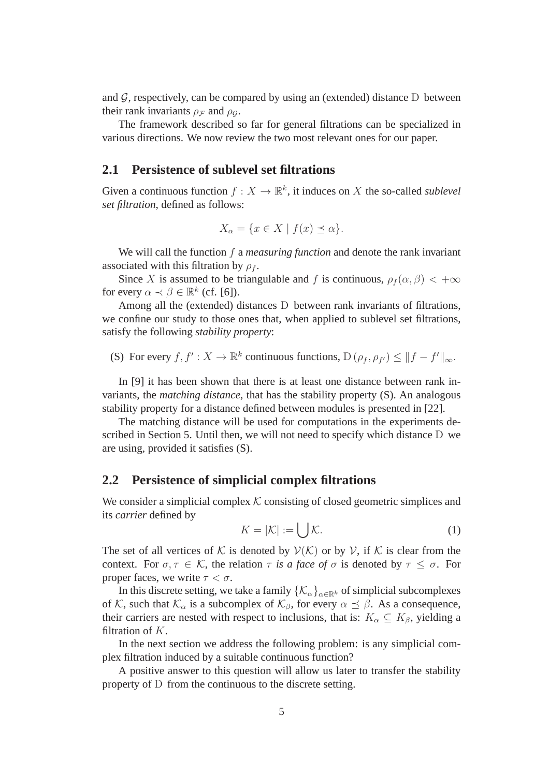and  $G$ , respectively, can be compared by using an (extended) distance D between their rank invariants  $\rho_{\mathcal{F}}$  and  $\rho_{\mathcal{G}}$ .

The framework described so far for general filtrations can be specialized in various directions. We now review the two most relevant ones for our paper.

### **2.1 Persistence of sublevel set filtrations**

Given a continuous function  $f: X \to \mathbb{R}^k$ , it induces on X the so-called *sublevel set filtration*, defined as follows:

$$
X_{\alpha} = \{ x \in X \mid f(x) \preceq \alpha \}.
$$

We will call the function f a *measuring function* and denote the rank invariant associated with this filtration by  $\rho_f$ .

Since X is assumed to be triangulable and f is continuous,  $\rho_f(\alpha, \beta) < +\infty$ for every  $\alpha \prec \beta \in \mathbb{R}^k$  (cf. [6]).

Among all the (extended) distances D between rank invariants of filtrations, we confine our study to those ones that, when applied to sublevel set filtrations, satisfy the following *stability property*:

(S) For every 
$$
f, f' : X \to \mathbb{R}^k
$$
 continuous functions,  $D(\rho_f, \rho_{f'}) \le ||f - f'||_{\infty}$ .

In [9] it has been shown that there is at least one distance between rank invariants, the *matching distance*, that has the stability property (S). An analogous stability property for a distance defined between modules is presented in [22].

The matching distance will be used for computations in the experiments described in Section 5. Until then, we will not need to specify which distance D we are using, provided it satisfies (S).

### **2.2 Persistence of simplicial complex filtrations**

We consider a simplicial complex  $K$  consisting of closed geometric simplices and its *carrier* defined by

$$
K = |\mathcal{K}| := \bigcup \mathcal{K}.\tag{1}
$$

The set of all vertices of K is denoted by  $V(K)$  or by V, if K is clear from the context. For  $\sigma, \tau \in \mathcal{K}$ , the relation  $\tau$  *is a face of*  $\sigma$  *is denoted by*  $\tau \leq \sigma$ . For proper faces, we write  $\tau < \sigma$ .

In this discrete setting, we take a family  $\{\mathcal{K}_{\alpha}\}_{{\alpha}\in\mathbb{R}^k}$  of simplicial subcomplexes of K, such that  $\mathcal{K}_{\alpha}$  is a subcomplex of  $\mathcal{K}_{\beta}$ , for every  $\alpha \preceq \beta$ . As a consequence, their carriers are nested with respect to inclusions, that is:  $K_{\alpha} \subseteq K_{\beta}$ , yielding a filtration of  $K$ .

In the next section we address the following problem: is any simplicial complex filtration induced by a suitable continuous function?

A positive answer to this question will allow us later to transfer the stability property of D from the continuous to the discrete setting.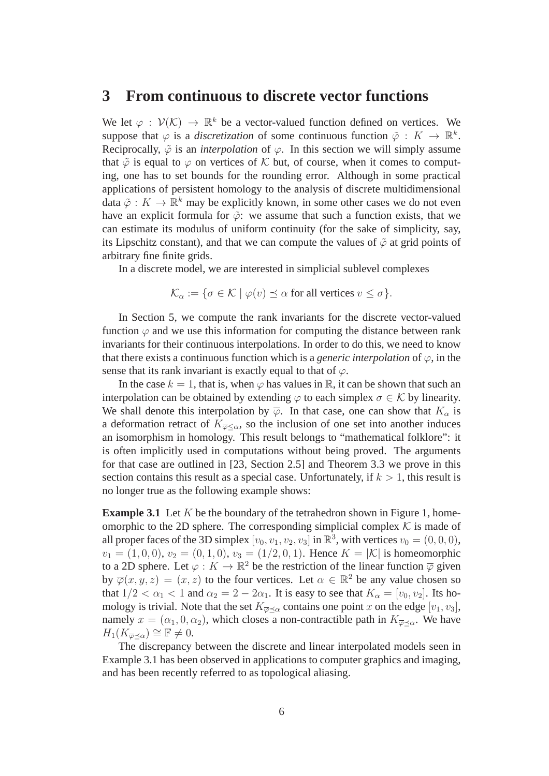### **3 From continuous to discrete vector functions**

We let  $\varphi : \mathcal{V}(\mathcal{K}) \to \mathbb{R}^k$  be a vector-valued function defined on vertices. We suppose that  $\varphi$  is a *discretization* of some continuous function  $\tilde{\varphi}: K \to \mathbb{R}^k$ . Reciprocally,  $\tilde{\varphi}$  is an *interpolation* of  $\varphi$ . In this section we will simply assume that  $\tilde{\varphi}$  is equal to  $\varphi$  on vertices of K but, of course, when it comes to computing, one has to set bounds for the rounding error. Although in some practical applications of persistent homology to the analysis of discrete multidimensional data  $\tilde{\varphi}: K \to \mathbb{R}^k$  may be explicitly known, in some other cases we do not even have an explicit formula for  $\tilde{\varphi}$ : we assume that such a function exists, that we can estimate its modulus of uniform continuity (for the sake of simplicity, say, its Lipschitz constant), and that we can compute the values of  $\tilde{\varphi}$  at grid points of arbitrary fine finite grids.

In a discrete model, we are interested in simplicial sublevel complexes

$$
\mathcal{K}_{\alpha} := \{ \sigma \in \mathcal{K} \mid \varphi(v) \preceq \alpha \text{ for all vertices } v \le \sigma \}.
$$

In Section 5, we compute the rank invariants for the discrete vector-valued function  $\varphi$  and we use this information for computing the distance between rank invariants for their continuous interpolations. In order to do this, we need to know that there exists a continuous function which is a *generic interpolation* of  $\varphi$ , in the sense that its rank invariant is exactly equal to that of  $\varphi$ .

In the case  $k = 1$ , that is, when  $\varphi$  has values in R, it can be shown that such an interpolation can be obtained by extending  $\varphi$  to each simplex  $\sigma \in \mathcal{K}$  by linearity. We shall denote this interpolation by  $\overline{\varphi}$ . In that case, one can show that  $K_{\alpha}$  is a deformation retract of  $K_{\overline{\varphi} < \alpha}$ , so the inclusion of one set into another induces an isomorphism in homology. This result belongs to "mathematical folklore": it is often implicitly used in computations without being proved. The arguments for that case are outlined in [23, Section 2.5] and Theorem 3.3 we prove in this section contains this result as a special case. Unfortunately, if  $k > 1$ , this result is no longer true as the following example shows:

**Example 3.1** Let  $K$  be the boundary of the tetrahedron shown in Figure 1, homeomorphic to the 2D sphere. The corresponding simplicial complex  $K$  is made of all proper faces of the 3D simplex  $[v_0, v_1, v_2, v_3]$  in  $\mathbb{R}^3$ , with vertices  $v_0 = (0, 0, 0)$ ,  $v_1 = (1, 0, 0), v_2 = (0, 1, 0), v_3 = (1/2, 0, 1).$  Hence  $K = |\mathcal{K}|$  is homeomorphic to a 2D sphere. Let  $\varphi: K \to \mathbb{R}^2$  be the restriction of the linear function  $\overline{\varphi}$  given by  $\overline{\varphi}(x, y, z) = (x, z)$  to the four vertices. Let  $\alpha \in \mathbb{R}^2$  be any value chosen so that  $1/2 < \alpha_1 < 1$  and  $\alpha_2 = 2 - 2\alpha_1$ . It is easy to see that  $K_\alpha = [v_0, v_2]$ . Its homology is trivial. Note that the set  $K_{\overline{\varphi} \preceq \alpha}$  contains one point x on the edge  $[v_1, v_3]$ , namely  $x = (\alpha_1, 0, \alpha_2)$ , which closes a non-contractible path in  $K_{\overline{\varphi} \preceq \alpha}$ . We have  $H_1(K_{\overline{\omega}\prec\alpha})\cong \mathbb{F}\neq 0.$ 

The discrepancy between the discrete and linear interpolated models seen in Example 3.1 has been observed in applications to computer graphics and imaging, and has been recently referred to as topological aliasing.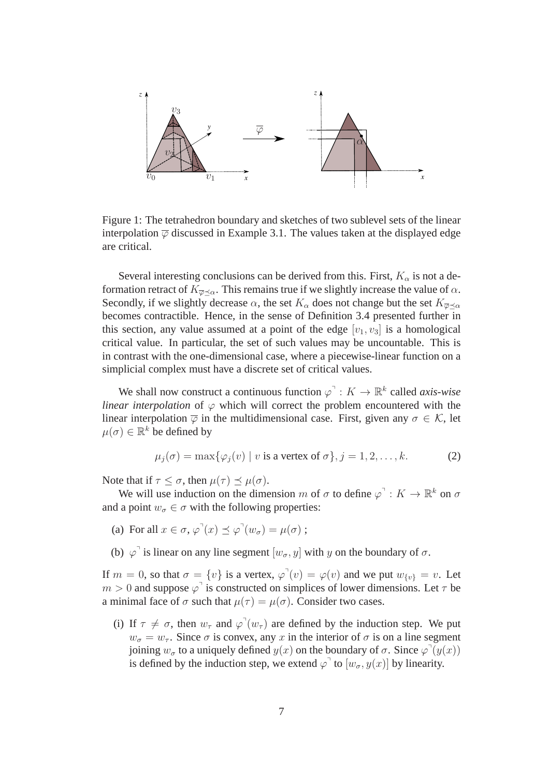

Figure 1: The tetrahedron boundary and sketches of two sublevel sets of the linear interpolation  $\overline{\varphi}$  discussed in Example 3.1. The values taken at the displayed edge are critical.

Several interesting conclusions can be derived from this. First,  $K_{\alpha}$  is not a deformation retract of  $K_{\overline{\varphi} \prec \alpha}$ . This remains true if we slightly increase the value of  $\alpha$ . Secondly, if we slightly decrease  $\alpha$ , the set  $K_{\alpha}$  does not change but the set  $K_{\overline{\varphi} \prec \alpha}$ becomes contractible. Hence, in the sense of Definition 3.4 presented further in this section, any value assumed at a point of the edge  $[v_1, v_3]$  is a homological critical value. In particular, the set of such values may be uncountable. This is in contrast with the one-dimensional case, where a piecewise-linear function on a simplicial complex must have a discrete set of critical values.

We shall now construct a continuous function  $\varphi^{\dagger}: K \to \mathbb{R}^k$  called *axis-wise linear interpolation* of  $\varphi$  which will correct the problem encountered with the linear interpolation  $\overline{\varphi}$  in the multidimensional case. First, given any  $\sigma \in \mathcal{K}$ , let  $\mu(\sigma) \in \mathbb{R}^k$  be defined by

$$
\mu_j(\sigma) = \max\{\varphi_j(v) \mid v \text{ is a vertex of } \sigma\}, j = 1, 2, \dots, k. \tag{2}
$$

Note that if  $\tau \leq \sigma$ , then  $\mu(\tau) \leq \mu(\sigma)$ .

We will use induction on the dimension m of  $\sigma$  to define  $\varphi$ <sup> $\exists$ </sup> :  $K \to \mathbb{R}^k$  on  $\sigma$ and a point  $w_{\sigma} \in \sigma$  with the following properties:

- (a) For all  $x \in \sigma$ ,  $\varphi^{\mathsf{T}}(x) \preceq \varphi^{\mathsf{T}}(w_{\sigma}) = \mu(\sigma)$ ;
- (b)  $\varphi$ <sup>1</sup> is linear on any line segment  $[w_{\sigma}, y]$  with y on the boundary of  $\sigma$ .

If  $m = 0$ , so that  $\sigma = \{v\}$  is a vertex,  $\varphi'(v) = \varphi(v)$  and we put  $w_{\{v\}} = v$ . Let  $m > 0$  and suppose  $\varphi$ <sup>1</sup> is constructed on simplices of lower dimensions. Let  $\tau$  be a minimal face of  $\sigma$  such that  $\mu(\tau) = \mu(\sigma)$ . Consider two cases.

(i) If  $\tau \neq \sigma$ , then  $w_{\tau}$  and  $\varphi^{\dagger}(w_{\tau})$  are defined by the induction step. We put  $w_{\sigma} = w_{\tau}$ . Since  $\sigma$  is convex, any x in the interior of  $\sigma$  is on a line segment joining  $w_{\sigma}$  to a uniquely defined  $y(x)$  on the boundary of  $\sigma$ . Since  $\varphi^{\top}(y(x))$ is defined by the induction step, we extend  $\varphi^{\dagger}$  to  $[w_{\sigma}, y(x)]$  by linearity.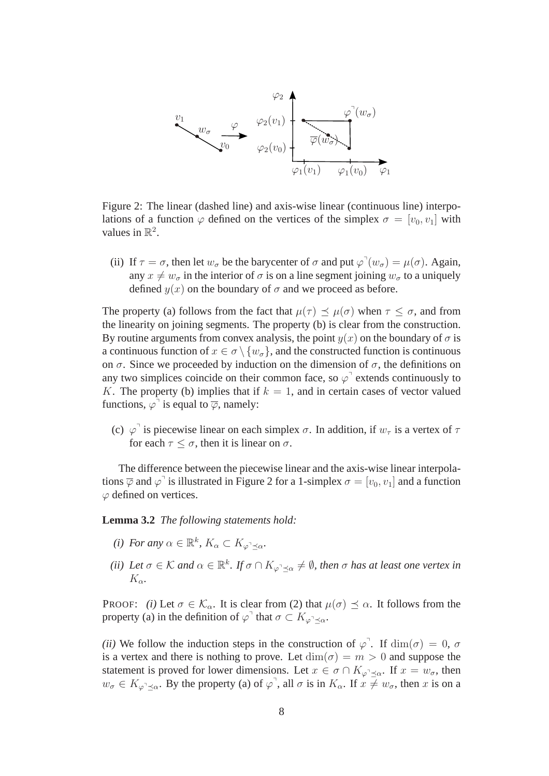

Figure 2: The linear (dashed line) and axis-wise linear (continuous line) interpolations of a function  $\varphi$  defined on the vertices of the simplex  $\sigma = [v_0, v_1]$  with values in  $\mathbb{R}^2$ .

(ii) If  $\tau = \sigma$ , then let  $w_{\sigma}$  be the barycenter of  $\sigma$  and put  $\varphi'(w_{\sigma}) = \mu(\sigma)$ . Again, any  $x \neq w_{\sigma}$  in the interior of  $\sigma$  is on a line segment joining  $w_{\sigma}$  to a uniquely defined  $y(x)$  on the boundary of  $\sigma$  and we proceed as before.

The property (a) follows from the fact that  $\mu(\tau) \prec \mu(\sigma)$  when  $\tau \leq \sigma$ , and from the linearity on joining segments. The property (b) is clear from the construction. By routine arguments from convex analysis, the point  $y(x)$  on the boundary of  $\sigma$  is a continuous function of  $x \in \sigma \setminus \{w_{\sigma}\}\)$ , and the constructed function is continuous on  $\sigma$ . Since we proceeded by induction on the dimension of  $\sigma$ , the definitions on any two simplices coincide on their common face, so  $\varphi$ <sup>1</sup> extends continuously to K. The property (b) implies that if  $k = 1$ , and in certain cases of vector valued functions,  $\varphi^{\dagger}$  is equal to  $\overline{\varphi}$ , namely:

(c)  $\varphi$ <sup>1</sup> is piecewise linear on each simplex  $\sigma$ . In addition, if  $w_{\tau}$  is a vertex of  $\tau$ for each  $\tau \leq \sigma$ , then it is linear on  $\sigma$ .

The difference between the piecewise linear and the axis-wise linear interpolations  $\overline{\varphi}$  and  $\varphi$ <sup>-</sup> is illustrated in Figure 2 for a 1-simplex  $\sigma = [v_0, v_1]$  and a function  $\varphi$  defined on vertices.

**Lemma 3.2** *The following statements hold:*

- *(i)* For any  $\alpha \in \mathbb{R}^k$ ,  $K_{\alpha} \subset K_{\varphi^{\alpha} \preceq \alpha}$ .
- *(ii)* Let  $\sigma \in \mathcal{K}$  and  $\alpha \in \mathbb{R}^k$ . If  $\sigma \cap K_{\varphi \cap \preceq \alpha} \neq \emptyset$ , then  $\sigma$  has at least one vertex in  $K_{\alpha}$ .

PROOF: *(i)* Let  $\sigma \in \mathcal{K}_{\alpha}$ . It is clear from (2) that  $\mu(\sigma) \preceq \alpha$ . It follows from the property (a) in the definition of  $\varphi$ <sup>1</sup> that  $\sigma \subset K_{\varphi^1 \preceq \alpha}$ .

*(ii)* We follow the induction steps in the construction of  $\varphi$ <sup>-</sup>. If  $\dim(\sigma) = 0$ ,  $\sigma$ is a vertex and there is nothing to prove. Let  $\dim(\sigma) = m > 0$  and suppose the statement is proved for lower dimensions. Let  $x \in \sigma \cap K_{\varphi \prec \alpha}$ . If  $x = w_{\sigma}$ , then  $w_{\sigma} \in K_{\varphi^{\top} \preceq \alpha}$ . By the property (a) of  $\varphi^{\top}$ , all  $\sigma$  is in  $K_{\alpha}$ . If  $x \neq w_{\sigma}$ , then x is on a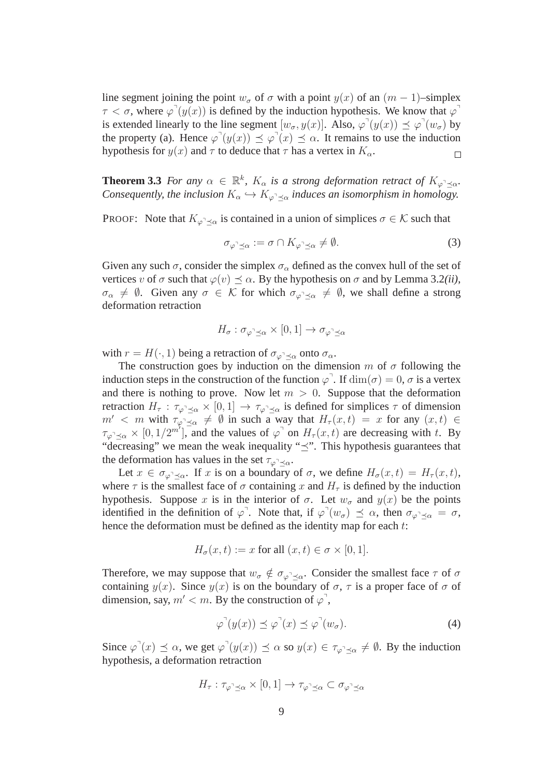line segment joining the point  $w_{\sigma}$  of  $\sigma$  with a point  $y(x)$  of an  $(m - 1)$ –simplex  $\tau < \sigma$ , where  $\varphi'(y(x))$  is defined by the induction hypothesis. We know that  $\varphi'(y(x))$ is extended linearly to the line segment  $[w_{\sigma}, y(x)]$ . Also,  $\varphi'(y(x)) \preceq \varphi'(w_{\sigma})$  by the property (a). Hence  $\varphi'(y(x)) \preceq \varphi'(x) \preceq \alpha$ . It remains to use the induction hypothesis for  $y(x)$  and  $\tau$  to deduce that  $\tau$  has a vertex in  $K_{\alpha}$ .  $\Box$ 

**Theorem 3.3** *For any*  $\alpha \in \mathbb{R}^k$ ,  $K_\alpha$  *is a strong deformation retract of*  $K_{\varphi \to \alpha}$ *. Consequently, the inclusion*  $K_{\alpha} \hookrightarrow K_{\varphi} \times_{\alpha}$  *induces an isomorphism in homology.* 

PROOF: Note that  $K_{\varphi \to \alpha}$  is contained in a union of simplices  $\sigma \in \mathcal{K}$  such that

$$
\sigma_{\varphi^{\neg} \preceq \alpha} := \sigma \cap K_{\varphi^{\neg} \preceq \alpha} \neq \emptyset. \tag{3}
$$

Given any such  $\sigma$ , consider the simplex  $\sigma_{\alpha}$  defined as the convex hull of the set of vertices v of  $\sigma$  such that  $\varphi(v) \preceq \alpha$ . By the hypothesis on  $\sigma$  and by Lemma 3.2*(ii)*,  $\sigma_{\alpha} \neq \emptyset$ . Given any  $\sigma \in \mathcal{K}$  for which  $\sigma_{\varphi \prec \alpha} \neq \emptyset$ , we shall define a strong deformation retraction

$$
H_{\sigma} : \sigma_{\varphi^{\neg} \preceq \alpha} \times [0,1] \to \sigma_{\varphi^{\neg} \preceq \alpha}
$$

with  $r = H(\cdot, 1)$  being a retraction of  $\sigma_{\varphi} \prec_{\alpha}$  onto  $\sigma_{\alpha}$ .

The construction goes by induction on the dimension m of  $\sigma$  following the induction steps in the construction of the function  $\varphi$ <sup>7</sup>. If  $\dim(\sigma) = 0$ ,  $\sigma$  is a vertex and there is nothing to prove. Now let  $m > 0$ . Suppose that the deformation retraction  $H_{\tau}$ :  $\tau_{\varphi} \times [0, 1] \to \tau_{\varphi} \times \pi$  is defined for simplices  $\tau$  of dimension  $m' < m$  with  $\tau_{\varphi \preceq \alpha} \neq \emptyset$  in such a way that  $H_{\tau}(x, t) = x$  for any  $(x, t) \in$  $\tau_{\varphi^{\top} \preceq \alpha} \times [0, 1/2^{m'}]$ , and the values of  $\varphi^{\top}$  on  $H_{\tau}(x, t)$  are decreasing with t. By "decreasing" we mean the weak inequality " $\preceq$ ". This hypothesis guarantees that the deformation has values in the set  $\tau_{\varphi^{\neg} \preceq \alpha}$ .

Let  $x \in \sigma_{\varphi \neg \prec \alpha}$ . If x is on a boundary of  $\sigma$ , we define  $H_{\sigma}(x,t) = H_{\tau}(x,t)$ , where  $\tau$  is the smallest face of  $\sigma$  containing x and  $H_{\tau}$  is defined by the induction hypothesis. Suppose x is in the interior of  $\sigma$ . Let  $w_{\sigma}$  and  $y(x)$  be the points identified in the definition of  $\varphi$ <sup>7</sup>. Note that, if  $\varphi$ <sup>7</sup> $(w_{\sigma}) \preceq \alpha$ , then  $\sigma_{\varphi$ <sup>3</sup> $\preceq \alpha} = \sigma$ , hence the deformation must be defined as the identity map for each t:

$$
H_{\sigma}(x,t) := x \text{ for all } (x,t) \in \sigma \times [0,1].
$$

Therefore, we may suppose that  $w_{\sigma} \notin \sigma_{\varphi^{\top} \preceq \alpha}$ . Consider the smallest face  $\tau$  of  $\sigma$ containing  $y(x)$ . Since  $y(x)$  is on the boundary of  $\sigma$ ,  $\tau$  is a proper face of  $\sigma$  of dimension, say,  $m' < m$ . By the construction of  $\varphi$ ,

$$
\varphi^{\neg}(y(x)) \preceq \varphi^{\neg}(x) \preceq \varphi^{\neg}(w_{\sigma}). \tag{4}
$$

Since  $\varphi^{\mathsf{T}}(x) \preceq \alpha$ , we get  $\varphi^{\mathsf{T}}(y(x)) \preceq \alpha$  so  $y(x) \in \tau_{\varphi^{\mathsf{T}} \preceq \alpha} \neq \emptyset$ . By the induction hypothesis, a deformation retraction

$$
H_{\tau} : \tau_{\varphi^{\neg} \preceq \alpha} \times [0,1] \to \tau_{\varphi^{\neg} \preceq \alpha} \subset \sigma_{\varphi^{\neg} \preceq \alpha}
$$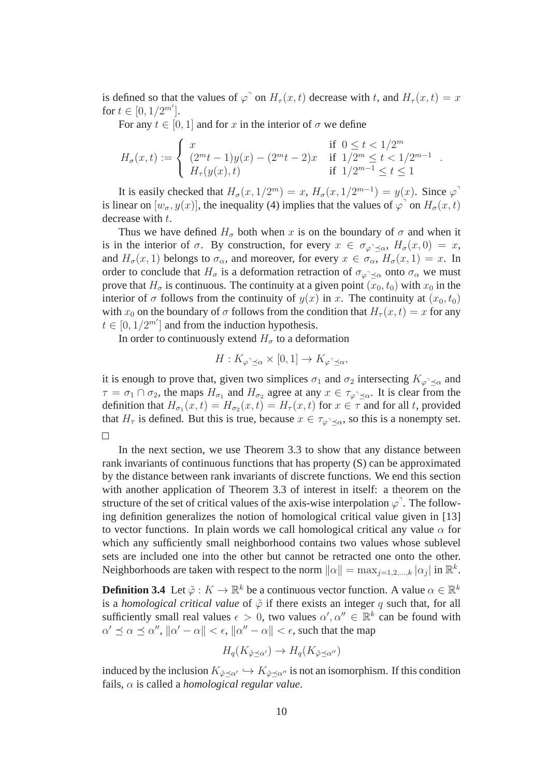is defined so that the values of  $\varphi$ <sup>1</sup> on  $H_{\tau}(x,t)$  decrease with t, and  $H_{\tau}(x,t) = x$ for  $t \in [0, 1/2^{m'}].$ 

For any  $t \in [0, 1]$  and for x in the interior of  $\sigma$  we define

$$
H_{\sigma}(x,t):=\left\{\begin{array}{ll} x & \text{if} \;\; 0\leq t<1/2^m \\ (2^mt-1)y(x)-(2^mt-2)x & \text{if} \;\; 1/2^m\leq t<1/2^{m-1} \\ H_{\tau}(y(x),t) & \text{if} \;\; 1/2^{m-1}\leq t\leq 1 \end{array}\right.
$$

.

It is easily checked that  $H_{\sigma}(x, 1/2^m) = x$ ,  $H_{\sigma}(x, 1/2^{m-1}) = y(x)$ . Since  $\varphi$ <sup>1</sup> is linear on  $[w_{\sigma}, y(x)]$ , the inequality (4) implies that the values of  $\varphi^{\dagger}$  on  $H_{\sigma}(x, t)$ decrease with  $t$ .

Thus we have defined  $H_{\sigma}$  both when x is on the boundary of  $\sigma$  and when it is in the interior of  $\sigma$ . By construction, for every  $x \in \sigma_{\varphi \rightarrow \alpha}$ ,  $H_{\sigma}(x,0) = x$ , and  $H_{\sigma}(x, 1)$  belongs to  $\sigma_{\alpha}$ , and moreover, for every  $x \in \sigma_{\alpha}$ ,  $H_{\sigma}(x, 1) = x$ . In order to conclude that  $H_{\sigma}$  is a deformation retraction of  $\sigma_{\varphi} \prec_{\alpha}$  onto  $\sigma_{\alpha}$  we must prove that  $H_{\sigma}$  is continuous. The continuity at a given point  $(x_0, t_0)$  with  $x_0$  in the interior of  $\sigma$  follows from the continuity of  $y(x)$  in x. The continuity at  $(x_0, t_0)$ with  $x_0$  on the boundary of  $\sigma$  follows from the condition that  $H_{\tau}(x,t) = x$  for any  $t \in [0, 1/2^{m'}]$  and from the induction hypothesis.

In order to continuously extend  $H_{\sigma}$  to a deformation

$$
H: K_{\varphi^{\neg} \preceq \alpha} \times [0,1] \to K_{\varphi^{\neg} \preceq \alpha},
$$

it is enough to prove that, given two simplices  $\sigma_1$  and  $\sigma_2$  intersecting  $K_{\varphi^{\neg} \preceq \alpha}$  and  $\tau = \sigma_1 \cap \sigma_2$ , the maps  $H_{\sigma_1}$  and  $H_{\sigma_2}$  agree at any  $x \in \tau_{\varphi \preceq \alpha}$ . It is clear from the definition that  $H_{\sigma_1}(x,t) = H_{\sigma_2}(x,t) = H_{\tau}(x,t)$  for  $x \in \tau$  and for all t, provided that  $H_{\tau}$  is defined. But this is true, because  $x \in \tau_{\varphi^{-1} \prec \alpha}$ , so this is a nonempty set.  $\Box$ 

In the next section, we use Theorem 3.3 to show that any distance between rank invariants of continuous functions that has property (S) can be approximated by the distance between rank invariants of discrete functions. We end this section with another application of Theorem 3.3 of interest in itself: a theorem on the structure of the set of critical values of the axis-wise interpolation  $\varphi^{\text{I}}$ . The following definition generalizes the notion of homological critical value given in [13] to vector functions. In plain words we call homological critical any value  $\alpha$  for which any sufficiently small neighborhood contains two values whose sublevel sets are included one into the other but cannot be retracted one onto the other. Neighborhoods are taken with respect to the norm  $\|\alpha\| = \max_{j=1,2,\dots,k} |\alpha_j|$  in  $\mathbb{R}^k$ .

**Definition 3.4** Let  $\tilde{\varphi}: K \to \mathbb{R}^k$  be a continuous vector function. A value  $\alpha \in \mathbb{R}^k$ is a *homological critical value* of  $\tilde{\varphi}$  if there exists an integer q such that, for all sufficiently small real values  $\epsilon > 0$ , two values  $\alpha', \alpha'' \in \mathbb{R}^k$  can be found with  $\alpha' \preceq \alpha \preceq \alpha'', \|\alpha' - \alpha\| < \epsilon, \|\alpha'' - \alpha\| < \epsilon$ , such that the map

$$
H_q(K_{\tilde{\varphi}\preceq\alpha'})\to H_q(K_{\tilde{\varphi}\preceq\alpha''})
$$

induced by the inclusion  $K_{\tilde{\varphi} \prec \alpha'} \hookrightarrow K_{\tilde{\varphi} \prec \alpha''}$  is not an isomorphism. If this condition fails, α is called a *homological regular value*.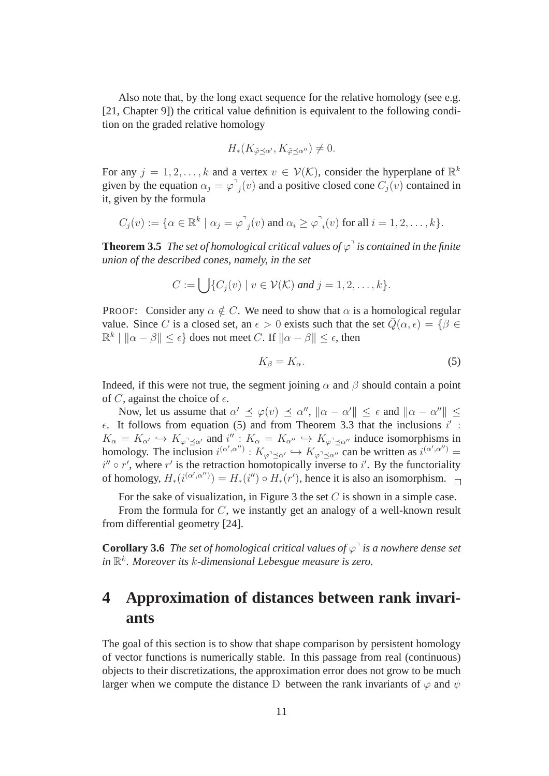Also note that, by the long exact sequence for the relative homology (see e.g. [21, Chapter 9]) the critical value definition is equivalent to the following condition on the graded relative homology

$$
H_*(K_{\tilde{\varphi}\preceq\alpha'},K_{\tilde{\varphi}\preceq\alpha''})\neq 0.
$$

For any  $j = 1, 2, ..., k$  and a vertex  $v \in V(\mathcal{K})$ , consider the hyperplane of  $\mathbb{R}^k$ given by the equation  $\alpha_j = \varphi^{\dagger}$  $j(v)$  and a positive closed cone  $C_j(v)$  contained in it, given by the formula

$$
C_j(v) := \{ \alpha \in \mathbb{R}^k \mid \alpha_j = \varphi_{j}(v) \text{ and } \alpha_i \ge \varphi_{i}(v) \text{ for all } i = 1, 2, \ldots, k \}.
$$

**Theorem 3.5** The set of homological critical values of  $\varphi$ <sup>1</sup> is contained in the finite *union of the described cones, namely, in the set*

$$
C := \bigcup \{C_j(v) \mid v \in \mathcal{V}(\mathcal{K}) \text{ and } j = 1, 2, \ldots, k\}.
$$

PROOF: Consider any  $\alpha \notin C$ . We need to show that  $\alpha$  is a homological regular value. Since C is a closed set, an  $\epsilon > 0$  exists such that the set  $\overline{Q}(\alpha, \epsilon) = \{\beta \in$  $\mathbb{R}^k \mid \|\alpha - \beta\| \leq \epsilon$  does not meet C. If  $\|\alpha - \beta\| \leq \epsilon$ , then

$$
K_{\beta} = K_{\alpha}.\tag{5}
$$

Indeed, if this were not true, the segment joining  $\alpha$  and  $\beta$  should contain a point of C, against the choice of  $\epsilon$ .

Now, let us assume that  $\alpha' \preceq \varphi(v) \preceq \alpha''$ ,  $\|\alpha - \alpha'\| \preceq \epsilon$  and  $\|\alpha - \alpha''\| \preceq$  $\epsilon$ . It follows from equation (5) and from Theorem 3.3 that the inclusions  $i'$ :  $K_{\alpha} = K_{\alpha'} \hookrightarrow K_{\varphi \preceq \alpha'}$  and  $i'' : K_{\alpha} = K_{\alpha''} \hookrightarrow K_{\varphi \preceq \alpha''}$  induce isomorphisms in homology. The inclusion  $i^{(\alpha',\alpha'')} : K_{\varphi^{\uparrow}\preceq\alpha'} \hookrightarrow K_{\varphi^{\uparrow}\preceq\alpha''}$  can be written as  $i^{(\alpha',\alpha'')} =$  $i'' \circ r'$ , where r' is the retraction homotopically inverse to i'. By the functoriality of homology,  $H_*(i^{(\alpha',\alpha'')}) = H_*(i'') \circ H_*(r')$ , hence it is also an isomorphism.

For the sake of visualization, in Figure 3 the set  $C$  is shown in a simple case.

From the formula for C, we instantly get an analogy of a well-known result from differential geometry [24].

**Corollary 3.6** The set of homological critical values of  $\varphi$ <sup> $\cdot$ </sup> is a nowhere dense set *in* R k *. Moreover its* k*-dimensional Lebesgue measure is zero.*

## **4 Approximation of distances between rank invariants**

The goal of this section is to show that shape comparison by persistent homology of vector functions is numerically stable. In this passage from real (continuous) objects to their discretizations, the approximation error does not grow to be much larger when we compute the distance D between the rank invariants of  $\varphi$  and  $\psi$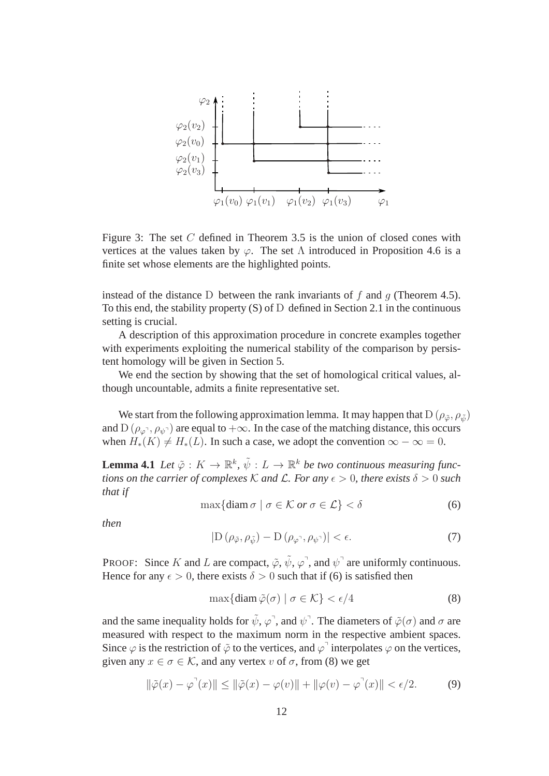

Figure 3: The set  $C$  defined in Theorem 3.5 is the union of closed cones with vertices at the values taken by  $\varphi$ . The set  $\Lambda$  introduced in Proposition 4.6 is a finite set whose elements are the highlighted points.

instead of the distance D between the rank invariants of f and q (Theorem 4.5). To this end, the stability property (S) of D defined in Section 2.1 in the continuous setting is crucial.

A description of this approximation procedure in concrete examples together with experiments exploiting the numerical stability of the comparison by persistent homology will be given in Section 5.

We end the section by showing that the set of homological critical values, although uncountable, admits a finite representative set.

We start from the following approximation lemma. It may happen that  $D(\rho_{\tilde{\varphi}}, \rho_{\tilde{\psi}})$ and D ( $\rho_{\varphi}$ <sup>-</sup>,  $\rho_{\psi}$ <sup>-</sup>) are equal to + $\infty$ . In the case of the matching distance, this occurs when  $H_*(K) \neq H_*(L)$ . In such a case, we adopt the convention  $\infty - \infty = 0$ .

**Lemma 4.1** Let  $\tilde{\varphi}: K \to \mathbb{R}^k$ ,  $\tilde{\psi}: L \to \mathbb{R}^k$  be two continuous measuring func*tions on the carrier of complexes* K *and* L. For *any*  $\epsilon > 0$ *, there exists*  $\delta > 0$  *such that if*

$$
\max\{\text{diam}\,\sigma \mid \sigma \in \mathcal{K} \text{ or } \sigma \in \mathcal{L}\} < \delta \tag{6}
$$

*then*

$$
|D(\rho_{\tilde{\varphi}}, \rho_{\tilde{\psi}}) - D(\rho_{\varphi^{\gamma}}, \rho_{\psi^{\gamma}})| < \epsilon.
$$
 (7)

PROOF: Since K and L are compact,  $\tilde{\varphi}$ ,  $\tilde{\psi}$ ,  $\varphi$ <sup>7</sup>, and  $\psi$ <sup>7</sup> are uniformly continuous. Hence for any  $\epsilon > 0$ , there exists  $\delta > 0$  such that if (6) is satisfied then

$$
\max\{\text{diam}\,\tilde{\varphi}(\sigma) \mid \sigma \in \mathcal{K}\} < \epsilon/4\tag{8}
$$

and the same inequality holds for  $\tilde{\psi}, \varphi$ , and  $\psi$ . The diameters of  $\tilde{\varphi}(\sigma)$  and  $\sigma$  are measured with respect to the maximum norm in the respective ambient spaces. Since  $\varphi$  is the restriction of  $\tilde{\varphi}$  to the vertices, and  $\varphi$ <sup>1</sup> interpolates  $\varphi$  on the vertices, given any  $x \in \sigma \in \mathcal{K}$ , and any vertex v of  $\sigma$ , from (8) we get

$$
\|\tilde{\varphi}(x) - \varphi^{\top}(x)\| \le \|\tilde{\varphi}(x) - \varphi(v)\| + \|\varphi(v) - \varphi^{\top}(x)\| < \epsilon/2. \tag{9}
$$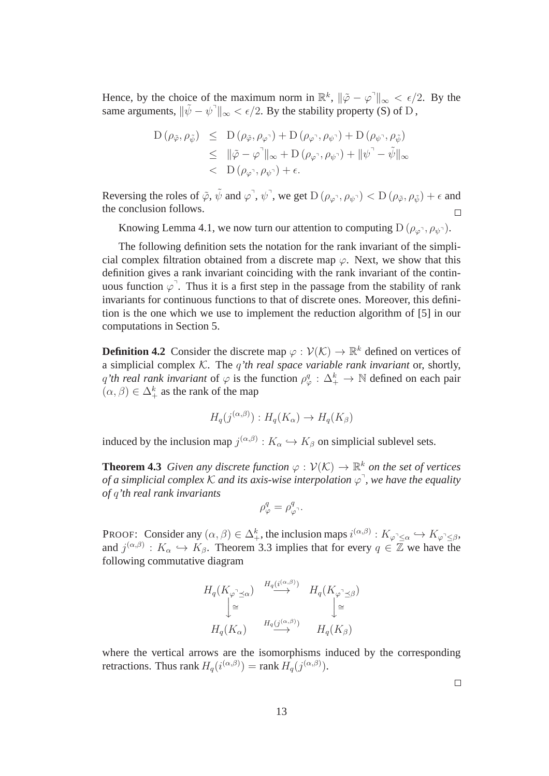Hence, by the choice of the maximum norm in  $\mathbb{R}^k$ ,  $\|\tilde{\varphi} - \varphi^{\top}\|_{\infty} < \epsilon/2$ . By the same arguments,  $\|\tilde{\psi} - \psi^{\dagger}\|_{\infty} < \epsilon/2$ . By the stability property (S) of D,

$$
\begin{array}{rcl}\n\mathcal{D}\left(\rho_{\tilde{\varphi}},\rho_{\tilde{\psi}}\right) & \leq & \mathcal{D}\left(\rho_{\tilde{\varphi}},\rho_{\varphi}\right) + \mathcal{D}\left(\rho_{\varphi}\right), \rho_{\psi}\right) + \mathcal{D}\left(\rho_{\psi}\right), \rho_{\tilde{\psi}}\right) \\
& \leq & \|\tilde{\varphi} - \varphi\|_{\infty} + \mathcal{D}\left(\rho_{\varphi}\right), \rho_{\psi}\right) + \|\psi\right] - \tilde{\psi}\|_{\infty} \\
& < & \mathcal{D}\left(\rho_{\varphi}\right), \rho_{\psi}\right) + \epsilon.\n\end{array}
$$

Reversing the roles of  $\tilde{\varphi}$ ,  $\tilde{\psi}$  and  $\varphi^{\dagger}$ ,  $\psi^{\dagger}$ , we get  $D(\rho_{\varphi^{\dagger}}, \rho_{\psi^{\dagger}}) < D(\rho_{\tilde{\varphi}}, \rho_{\tilde{\psi}}) + \epsilon$  and the conclusion follows.  $\Box$ 

Knowing Lemma 4.1, we now turn our attention to computing  $D(\rho_{\varphi}, \rho_{\psi})$ .

The following definition sets the notation for the rank invariant of the simplicial complex filtration obtained from a discrete map  $\varphi$ . Next, we show that this definition gives a rank invariant coinciding with the rank invariant of the continuous function  $\varphi$ . Thus it is a first step in the passage from the stability of rank invariants for continuous functions to that of discrete ones. Moreover, this definition is the one which we use to implement the reduction algorithm of [5] in our computations in Section 5.

**Definition 4.2** Consider the discrete map  $\varphi : \mathcal{V}(\mathcal{K}) \to \mathbb{R}^k$  defined on vertices of a simplicial complex K. The q*'th real space variable rank invariant* or, shortly, q'th real rank invariant of  $\varphi$  is the function  $\rho_{\varphi}^q : \Delta_+^k \to \mathbb{N}$  defined on each pair  $(\alpha, \beta) \in \Delta^k_+$  as the rank of the map

$$
H_q(j^{(\alpha,\beta)}): H_q(K_\alpha) \to H_q(K_\beta)
$$

induced by the inclusion map  $j^{(\alpha,\beta)}: K_\alpha \hookrightarrow K_\beta$  on simplicial sublevel sets.

**Theorem 4.3** *Given any discrete function*  $\varphi : \mathcal{V}(\mathcal{K}) \to \mathbb{R}^k$  *on the set of vertices of a simplicial complex K and its axis-wise interpolation*  $\varphi$ <sup>7</sup>, we have the equality *of* q*'th real rank invariants*

$$
\rho^q_\varphi = \rho^q_{\varphi^{\neg}}.
$$

**PROOF:** Consider any  $(\alpha, \beta) \in \Delta^k_+$ , the inclusion maps  $i^{(\alpha,\beta)}: K_{\varphi^{\flat} \leq \alpha} \hookrightarrow K_{\varphi^{\flat} \leq \beta}$ , and  $j^{(\alpha,\beta)}: K_\alpha \hookrightarrow K_\beta$ . Theorem 3.3 implies that for every  $q \in \overline{Z}$  we have the following commutative diagram

$$
H_q(K_{\varphi^{\neg} \preceq \alpha}) \xrightarrow{H_q(i^{(\alpha,\beta)})} H_q(K_{\varphi^{\neg} \preceq \beta})
$$
  

$$
\xrightarrow{\varphi} H_q(K_{\alpha}) \xrightarrow{H_q(j^{(\alpha,\beta)})} H_q(K_{\beta})
$$

where the vertical arrows are the isomorphisms induced by the corresponding retractions. Thus rank  $H_q(i^{(\alpha,\beta)}) = \text{rank } H_q(j^{(\alpha,\beta)}).$ 

 $\Box$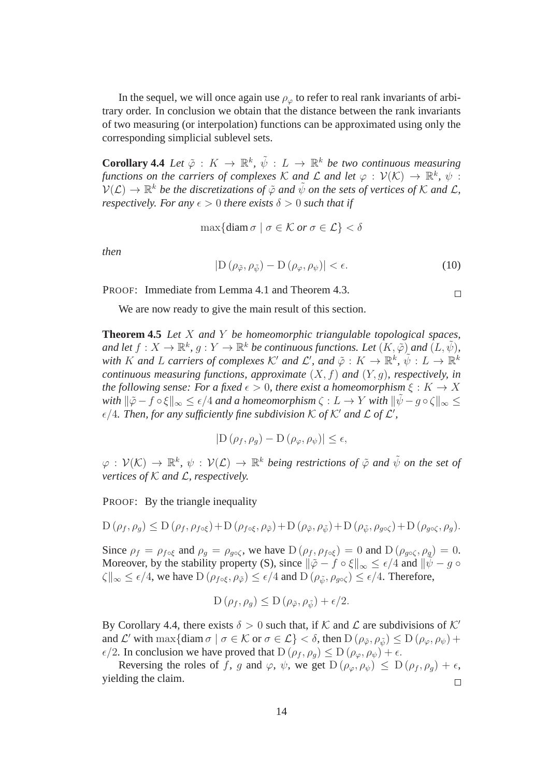In the sequel, we will once again use  $\rho_{\varphi}$  to refer to real rank invariants of arbitrary order. In conclusion we obtain that the distance between the rank invariants of two measuring (or interpolation) functions can be approximated using only the corresponding simplicial sublevel sets.

**Corollary 4.4** Let  $\tilde{\varphi}: K \to \mathbb{R}^k$ ,  $\tilde{\psi}: L \to \mathbb{R}^k$  be two continuous measuring *functions on the carriers of complexes*  $K$  *and*  $\mathcal L$  *and let*  $\varphi$  :  $\mathcal V(K) \to \mathbb R^k$ ,  $\psi$  :  $\mathcal{V}(\mathcal{L}) \to \mathbb{R}^k$  be the discretizations of  $\tilde{\varphi}$  and  $\tilde{\psi}$  on the sets of vertices of K and L, *respectively. For any*  $\epsilon > 0$  *there exists*  $\delta > 0$  *such that if* 

$$
\max\{\text{diam}\,\sigma \mid \sigma \in \mathcal{K} \text{ or } \sigma \in \mathcal{L}\} < \delta
$$

*then*

$$
|D(\rho_{\tilde{\varphi}}, \rho_{\tilde{\psi}}) - D(\rho_{\varphi}, \rho_{\psi})| < \epsilon. \tag{10}
$$

PROOF: Immediate from Lemma 4.1 and Theorem 4.3.

$$
\Box
$$

We are now ready to give the main result of this section.

**Theorem 4.5** *Let* X *and* Y *be homeomorphic triangulable topological spaces,* and let  $f: X \to \mathbb{R}^k$ ,  $g: Y \to \mathbb{R}^k$  be continuous functions. Let  $(K, \tilde{\varphi})$  and  $(L, \tilde{\psi})$ , with  $K$  and  $L$  carriers of complexes  $K'$  and  $\mathcal{L}'$ , and  $\tilde{\varphi}: K \to \mathbb{R}^k$ ,  $\tilde{\psi}: L \to \mathbb{R}^k$ *continuous measuring functions, approximate* (X, f) *and* (Y, g)*, respectively, in the following sense: For a fixed*  $\epsilon > 0$ *, there exist a homeomorphism*  $\xi : K \to X$ *with*  $\|\tilde{\varphi} - f \circ \xi\|_{\infty} \leq \epsilon/4$  *and a homeomorphism*  $\zeta : L \to Y$  *with*  $\|\tilde{\psi} - g \circ \zeta\|_{\infty} \leq$  $\epsilon$ /4. Then, for any sufficiently fine subdivision K of K' and L of L',

$$
|\mathcal{D}(\rho_f, \rho_g) - \mathcal{D}(\rho_{\varphi}, \rho_{\psi})| \le \epsilon,
$$

 $\varphi: V(\mathcal{K}) \to \mathbb{R}^k$ ,  $\psi: V(\mathcal{L}) \to \mathbb{R}^k$  being restrictions of  $\tilde{\varphi}$  and  $\tilde{\psi}$  on the set of *vertices of* K *and* L*, respectively.*

PROOF: By the triangle inequality

$$
D(\rho_f, \rho_g) \le D(\rho_f, \rho_{f \circ \xi}) + D(\rho_{f \circ \xi}, \rho_{\tilde{\varphi}}) + D(\rho_{\tilde{\varphi}}, \rho_{\tilde{\psi}}) + D(\rho_{\tilde{\psi}}, \rho_{g \circ \zeta}) + D(\rho_{g \circ \zeta}, \rho_g).
$$

Since  $\rho_f = \rho_{f \circ \xi}$  and  $\rho_g = \rho_{g \circ \zeta}$ , we have  $D(\rho_f, \rho_{f \circ \xi}) = 0$  and  $D(\rho_{g \circ \zeta}, \rho_g) = 0$ . Moreover, by the stability property (S), since  $\|\tilde{\varphi} - f \circ \xi\|_{\infty} \leq \epsilon/4$  and  $\|\tilde{\psi} - g \circ \xi\|_{\infty}$  $\|\zeta\|_{\infty} \leq \epsilon/4$ , we have  $D(\rho_{f \circ \xi}, \rho_{\tilde{\varphi}}) \leq \epsilon/4$  and  $D(\rho_{\tilde{\psi}}, \rho_{g \circ \zeta}) \leq \epsilon/4$ . Therefore,

$$
D(\rho_f, \rho_g) \le D(\rho_{\tilde{\varphi}}, \rho_{\tilde{\psi}}) + \epsilon/2.
$$

By Corollary 4.4, there exists  $\delta > 0$  such that, if K and L are subdivisions of K' and  $\mathcal{L}'$  with  $\max\{\text{diam }\sigma \mid \sigma \in \mathcal{K} \text{ or } \sigma \in \mathcal{L}\}<\delta$ , then  $D(\rho_{\tilde{\varphi}}, \rho_{\tilde{\psi}}) \leq D(\rho_{\varphi}, \rho_{\psi}) +$  $\epsilon/2$ . In conclusion we have proved that  $D(\rho_f, \rho_q) \leq D(\rho_\varphi, \rho_\psi) + \epsilon$ .

Reversing the roles of f, g and  $\varphi$ ,  $\psi$ , we get  $D(\rho_{\varphi}, \rho_{\psi}) \leq D(\rho_f, \rho_g) + \epsilon$ , yielding the claim.  $\Box$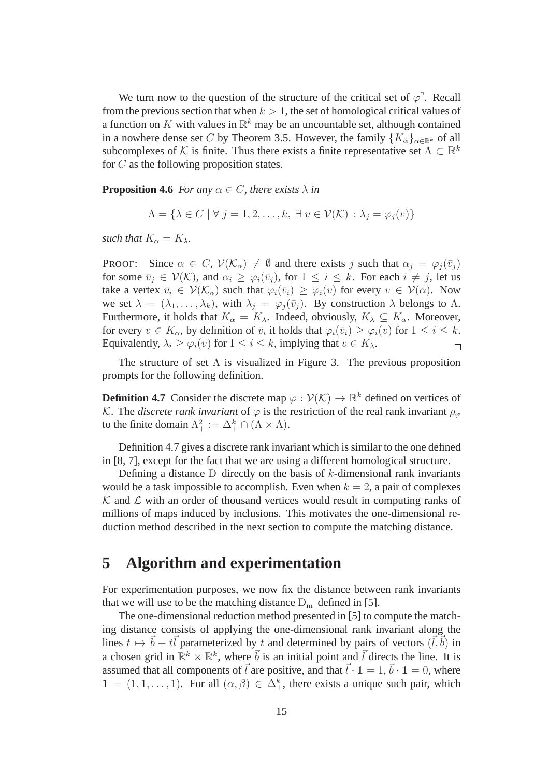We turn now to the question of the structure of the critical set of  $\varphi^{\neg}$ . Recall from the previous section that when  $k > 1$ , the set of homological critical values of a function on K with values in  $\mathbb{R}^k$  may be an uncountable set, although contained in a nowhere dense set C by Theorem 3.5. However, the family  ${K_{\alpha}}_{\alpha \in \mathbb{R}^k}$  of all subcomplexes of K is finite. Thus there exists a finite representative set  $\Lambda \subset \mathbb{R}^k$ for  $C$  as the following proposition states.

**Proposition 4.6** *For any*  $\alpha \in C$ *, there exists*  $\lambda$  *in* 

$$
\Lambda = \{ \lambda \in C \mid \forall j = 1, 2, \dots, k, \exists v \in \mathcal{V}(\mathcal{K}) : \lambda_j = \varphi_j(v) \}
$$

*such that*  $K_{\alpha} = K_{\lambda}$ *.* 

PROOF: Since  $\alpha \in C$ ,  $\mathcal{V}(\mathcal{K}_{\alpha}) \neq \emptyset$  and there exists j such that  $\alpha_j = \varphi_j(\bar{v}_j)$ for some  $\bar{v}_i \in \mathcal{V}(\mathcal{K})$ , and  $\alpha_i \geq \varphi_i(\bar{v}_i)$ , for  $1 \leq i \leq k$ . For each  $i \neq j$ , let us take a vertex  $\bar{v}_i \in \mathcal{V}(\mathcal{K}_\alpha)$  such that  $\varphi_i(\bar{v}_i) \geq \varphi_i(v)$  for every  $v \in \mathcal{V}(\alpha)$ . Now we set  $\lambda = (\lambda_1, \ldots, \lambda_k)$ , with  $\lambda_i = \varphi_i(\bar{v}_i)$ . By construction  $\lambda$  belongs to  $\Lambda$ . Furthermore, it holds that  $K_{\alpha} = K_{\lambda}$ . Indeed, obviously,  $K_{\lambda} \subseteq K_{\alpha}$ . Moreover, for every  $v \in K_\alpha$ , by definition of  $\bar{v}_i$  it holds that  $\varphi_i(\bar{v}_i) \ge \varphi_i(v)$  for  $1 \le i \le k$ . Equivalently,  $\lambda_i \geq \varphi_i(v)$  for  $1 \leq i \leq k$ , implying that  $v \in K_\lambda$ .  $\Box$ 

The structure of set  $\Lambda$  is visualized in Figure 3. The previous proposition prompts for the following definition.

**Definition 4.7** Consider the discrete map  $\varphi : \mathcal{V}(\mathcal{K}) \to \mathbb{R}^k$  defined on vertices of K. The *discrete rank invariant* of  $\varphi$  is the restriction of the real rank invariant  $\rho_{\varphi}$ to the finite domain  $\Lambda^2_+ := \Delta^k_+ \cap (\Lambda \times \Lambda)$ .

Definition 4.7 gives a discrete rank invariant which is similar to the one defined in [8, 7], except for the fact that we are using a different homological structure.

Defining a distance  $D$  directly on the basis of k-dimensional rank invariants would be a task impossible to accomplish. Even when  $k = 2$ , a pair of complexes  $K$  and  $\mathcal L$  with an order of thousand vertices would result in computing ranks of millions of maps induced by inclusions. This motivates the one-dimensional reduction method described in the next section to compute the matching distance.

## **5 Algorithm and experimentation**

For experimentation purposes, we now fix the distance between rank invariants that we will use to be the matching distance  $D_m$  defined in [5].

The one-dimensional reduction method presented in [5] to compute the matching distance consists of applying the one-dimensional rank invariant along the lines  $t \mapsto \vec{b} + t\vec{l}$  parameterized by t and determined by pairs of vectors  $(\vec{l}, \vec{b})$  in a chosen grid in  $\mathbb{R}^k \times \mathbb{R}^k$ , where  $\vec{b}$  is an initial point and  $\vec{l}$  directs the line. It is assumed that all components of  $\vec{l}$  are positive, and that  $\vec{l} \cdot \mathbf{1} = 1, \vec{b} \cdot \mathbf{1} = 0$ , where  $1 = (1, 1, \ldots, 1)$ . For all  $(\alpha, \beta) \in \Delta^k_+$ , there exists a unique such pair, which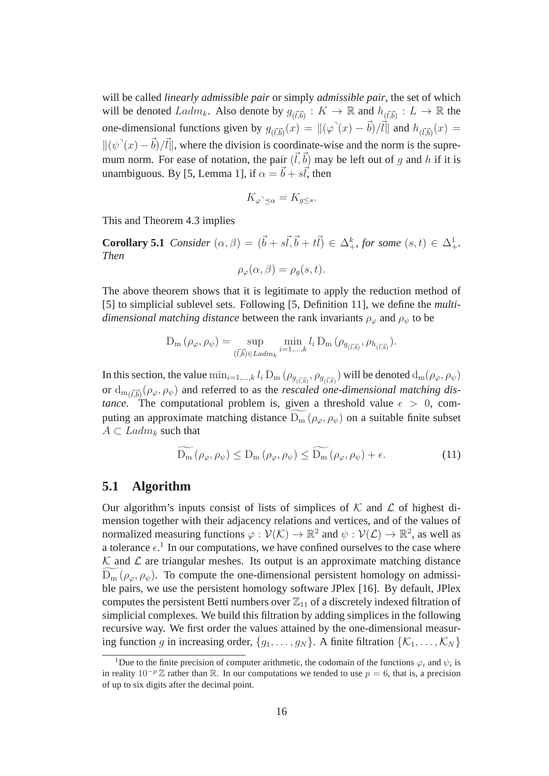will be called *linearly admissible pair* or simply *admissible pair*, the set of which will be denoted  $Ladm_k$ . Also denote by  $g_{(\vec{l},\vec{b})}: K \to \mathbb{R}$  and  $h_{(\vec{l},\vec{b})}: L \to \mathbb{R}$  the one-dimensional functions given by  $g_{(\vec{l},\vec{b})}(x) = ||(\varphi(x) - \vec{b})/\vec{l}||$  and  $h_{(\vec{l},\vec{b})}(x) =$  $\|(\psi^{\dagger}(x) - \vec{b})/\vec{l}\|$ , where the division is coordinate-wise and the norm is the supremum norm. For ease of notation, the pair  $(\vec{l}, \vec{b})$  may be left out of g and h if it is unambiguous. By [5, Lemma 1], if  $\alpha = \vec{b} + s\vec{l}$ , then

$$
K_{\varphi^{\supset} \preceq \alpha} = K_{g \leq s}.
$$

This and Theorem 4.3 implies

**Corollary 5.1** *Consider*  $(\alpha, \beta) = (\vec{b} + s\vec{b}, \vec{b} + t\vec{b}) \in \Delta^k_+$ *, for some*  $(s, t) \in \Delta^1_+$ *. Then*

$$
\rho_{\varphi}(\alpha,\beta) = \rho_g(s,t).
$$

The above theorem shows that it is legitimate to apply the reduction method of [5] to simplicial sublevel sets. Following [5, Definition 11], we define the *multidimensional matching distance* between the rank invariants  $\rho_{\varphi}$  and  $\rho_{\psi}$  to be

$$
D_{m}(\rho_{\varphi}, \rho_{\psi}) = \sup_{(\vec{l}, \vec{b}) \in \text{Ladm}_k} \min_{i=1,\dots,k} l_i D_{m}(\rho_{g_{(\vec{l}, \vec{b})}}, \rho_{h_{(\vec{l}, \vec{b})}}).
$$

In this section, the value  $\min_{i=1,...,k} l_i D_m (\rho_{g_{(\vec{l},\vec{b})}}, \rho_{g_{(\vec{l},\vec{b})}})$  will be denoted  $d_m(\rho_\varphi, \rho_\psi)$ or  $d_{m(\vec{l},\vec{b})}(\rho_{\varphi},\rho_{\psi})$  and referred to as the *rescaled one-dimensional matching distance*. The computational problem is, given a threshold value  $\epsilon > 0$ , computing an approximate matching distance  $D_m(\rho_\omega, \rho_\psi)$  on a suitable finite subset  $A \subset \text{Ladm}_k$  such that

$$
D_{m}(\rho_{\varphi}, \rho_{\psi}) \le D_{m}(\rho_{\varphi}, \rho_{\psi}) \le D_{m}(\rho_{\varphi}, \rho_{\psi}) + \epsilon.
$$
 (11)

### **5.1 Algorithm**

Our algorithm's inputs consist of lists of simplices of  $K$  and  $\mathcal L$  of highest dimension together with their adjacency relations and vertices, and of the values of normalized measuring functions  $\varphi : \mathcal{V}(\mathcal{K}) \to \mathbb{R}^2$  and  $\psi : \mathcal{V}(\mathcal{L}) \to \mathbb{R}^2$ , as well as a tolerance  $\epsilon$ <sup>1</sup>. In our computations, we have confined ourselves to the case where  $K$  and  $\mathcal L$  are triangular meshes. Its output is an approximate matching distance  $D_m$  ( $\rho_{\varphi}, \rho_{\psi}$ ). To compute the one-dimensional persistent homology on admissible pairs, we use the persistent homology software JPlex [16]. By default, JPlex computes the persistent Betti numbers over  $\mathbb{Z}_{11}$  of a discretely indexed filtration of simplicial complexes. We build this filtration by adding simplices in the following recursive way. We first order the values attained by the one-dimensional measuring function g in increasing order,  $\{g_1, \ldots, g_N\}$ . A finite filtration  $\{K_1, \ldots, K_N\}$ 

<sup>&</sup>lt;sup>1</sup>Due to the finite precision of computer arithmetic, the codomain of the functions  $\varphi_i$  and  $\psi_i$  is in reality  $10^{-p} \mathbb{Z}$  rather than R. In our computations we tended to use  $p = 6$ , that is, a precision of up to six digits after the decimal point.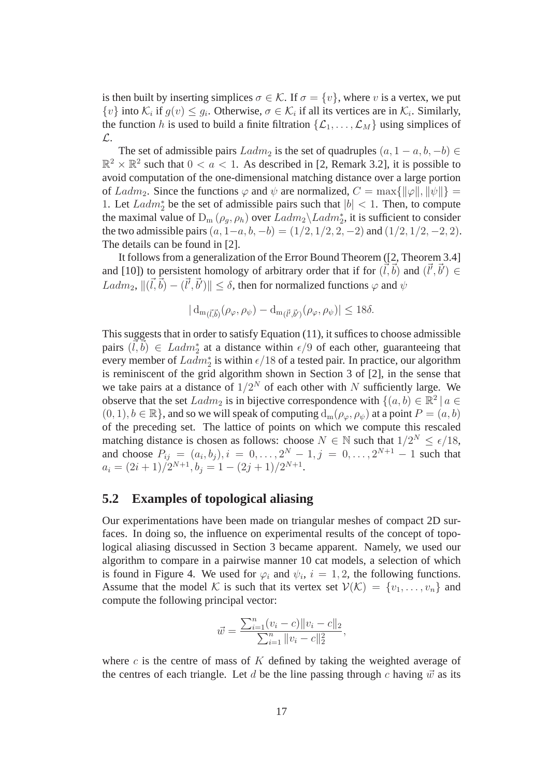is then built by inserting simplices  $\sigma \in \mathcal{K}$ . If  $\sigma = \{v\}$ , where v is a vertex, we put  $\{v\}$  into  $\mathcal{K}_i$  if  $g(v) \leq g_i$ . Otherwise,  $\sigma \in \mathcal{K}_i$  if all its vertices are in  $\mathcal{K}_i$ . Similarly, the function h is used to build a finite filtration  $\{\mathcal{L}_1, \ldots, \mathcal{L}_M\}$  using simplices of L.

The set of admissible pairs  $Ladm_2$  is the set of quadruples  $(a, 1 - a, b, -b) \in$  $\mathbb{R}^2 \times \mathbb{R}^2$  such that  $0 < a < 1$ . As described in [2, Remark 3.2], it is possible to avoid computation of the one-dimensional matching distance over a large portion of Ladm<sub>2</sub>. Since the functions  $\varphi$  and  $\psi$  are normalized,  $C = \max{\{\|\varphi\|, \|\psi\|\}}$ 1. Let  $Ladm_2^*$  be the set of admissible pairs such that  $|b| < 1$ . Then, to compute the maximal value of  $D_m(\rho_g, \rho_h)$  over  $Ladm_2 \backslash Ladm_2^*$ , it is sufficient to consider the two admissible pairs  $(a, 1-a, b, -b) = (1/2, 1/2, 2, -2)$  and  $(1/2, 1/2, -2, 2)$ . The details can be found in [2].

It follows from a generalization of the Error Bound Theorem ([2, Theorem 3.4] and [10]) to persistent homology of arbitrary order that if for  $(\vec{l}, \vec{b})$  and  $(\vec{l}', \vec{b}') \in$  $Ladm_2, \Vert (\vec{l}, \vec{b}) - (\vec{l}', \vec{b}') \Vert \leq \delta$ , then for normalized functions  $\varphi$  and  $\psi$ 

$$
|\,d_{m(\vec{l},\vec{b})}(\rho_{\varphi},\rho_{\psi}) - d_{m(\vec{l}',\vec{b}')}(\rho_{\varphi},\rho_{\psi})| \leq 18\delta.
$$

This suggests that in order to satisfy Equation (11), it suffices to choose admissible pairs  $(\vec{l}, \vec{b}) \in \text{Ladm}_2^*$  at a distance within  $\epsilon/9$  of each other, guaranteeing that every member of  $Ladm_2^*$  is within  $\epsilon/18$  of a tested pair. In practice, our algorithm is reminiscent of the grid algorithm shown in Section 3 of [2], in the sense that we take pairs at a distance of  $1/2^N$  of each other with N sufficiently large. We observe that the set  $Ladm_2$  is in bijective correspondence with  $\{(a, b) \in \mathbb{R}^2 \mid a \in \mathbb{R}^2 \mid a \in \mathbb{R}^2\}$  $(0, 1), b \in \mathbb{R}$ , and so we will speak of computing  $d_m(\rho_\varphi, \rho_\psi)$  at a point  $P = (a, b)$ of the preceding set. The lattice of points on which we compute this rescaled matching distance is chosen as follows: choose  $N \in \mathbb{N}$  such that  $1/2^N \leq \epsilon/18$ , and choose  $P_{ij} = (a_i, b_j), i = 0, \dots, 2^N - 1, j = 0, \dots, 2^{N+1} - 1$  such that  $a_i = (2i+1)/2^{N+1}, b_j = 1 - (2j+1)/2^{N+1}.$ 

### **5.2 Examples of topological aliasing**

Our experimentations have been made on triangular meshes of compact 2D surfaces. In doing so, the influence on experimental results of the concept of topological aliasing discussed in Section 3 became apparent. Namely, we used our algorithm to compare in a pairwise manner 10 cat models, a selection of which is found in Figure 4. We used for  $\varphi_i$  and  $\psi_i$ ,  $i = 1, 2$ , the following functions. Assume that the model K is such that its vertex set  $V(\mathcal{K}) = \{v_1, \ldots, v_n\}$  and compute the following principal vector:

$$
\vec{w} = \frac{\sum_{i=1}^{n} (v_i - c) ||v_i - c||_2}{\sum_{i=1}^{n} ||v_i - c||_2^2},
$$

where c is the centre of mass of  $K$  defined by taking the weighted average of the centres of each triangle. Let d be the line passing through c having  $\vec{w}$  as its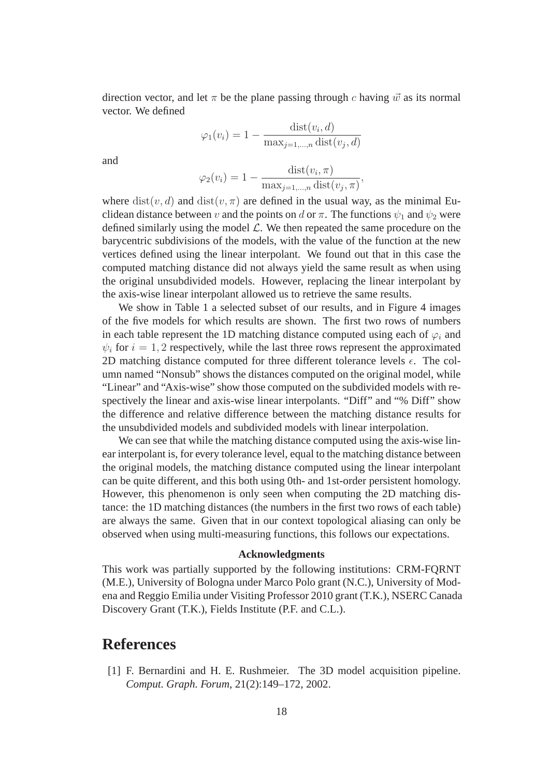direction vector, and let  $\pi$  be the plane passing through c having  $\vec{w}$  as its normal vector. We defined

$$
\varphi_1(v_i) = 1 - \frac{\text{dist}(v_i, d)}{\max_{j=1,\dots,n} \text{dist}(v_j, d)}
$$

and

$$
\varphi_2(v_i) = 1 - \frac{\text{dist}(v_i, \pi)}{\max_{j=1,\dots,n} \text{dist}(v_j, \pi)},
$$

where  $dist(v, d)$  and  $dist(v, \pi)$  are defined in the usual way, as the minimal Euclidean distance between v and the points on d or  $\pi$ . The functions  $\psi_1$  and  $\psi_2$  were defined similarly using the model  $\mathcal{L}$ . We then repeated the same procedure on the barycentric subdivisions of the models, with the value of the function at the new vertices defined using the linear interpolant. We found out that in this case the computed matching distance did not always yield the same result as when using the original unsubdivided models. However, replacing the linear interpolant by the axis-wise linear interpolant allowed us to retrieve the same results.

We show in Table 1 a selected subset of our results, and in Figure 4 images of the five models for which results are shown. The first two rows of numbers in each table represent the 1D matching distance computed using each of  $\varphi_i$  and  $\psi_i$  for  $i = 1, 2$  respectively, while the last three rows represent the approximated 2D matching distance computed for three different tolerance levels  $\epsilon$ . The column named "Nonsub" shows the distances computed on the original model, while "Linear" and "Axis-wise" show those computed on the subdivided models with respectively the linear and axis-wise linear interpolants. "Diff" and "% Diff" show the difference and relative difference between the matching distance results for the unsubdivided models and subdivided models with linear interpolation.

We can see that while the matching distance computed using the axis-wise linear interpolant is, for every tolerance level, equal to the matching distance between the original models, the matching distance computed using the linear interpolant can be quite different, and this both using 0th- and 1st-order persistent homology. However, this phenomenon is only seen when computing the 2D matching distance: the 1D matching distances (the numbers in the first two rows of each table) are always the same. Given that in our context topological aliasing can only be observed when using multi-measuring functions, this follows our expectations.

#### **Acknowledgments**

This work was partially supported by the following institutions: CRM-FQRNT (M.E.), University of Bologna under Marco Polo grant (N.C.), University of Modena and Reggio Emilia under Visiting Professor 2010 grant (T.K.), NSERC Canada Discovery Grant (T.K.), Fields Institute (P.F. and C.L.).

## **References**

[1] F. Bernardini and H. E. Rushmeier. The 3D model acquisition pipeline. *Comput. Graph. Forum*, 21(2):149–172, 2002.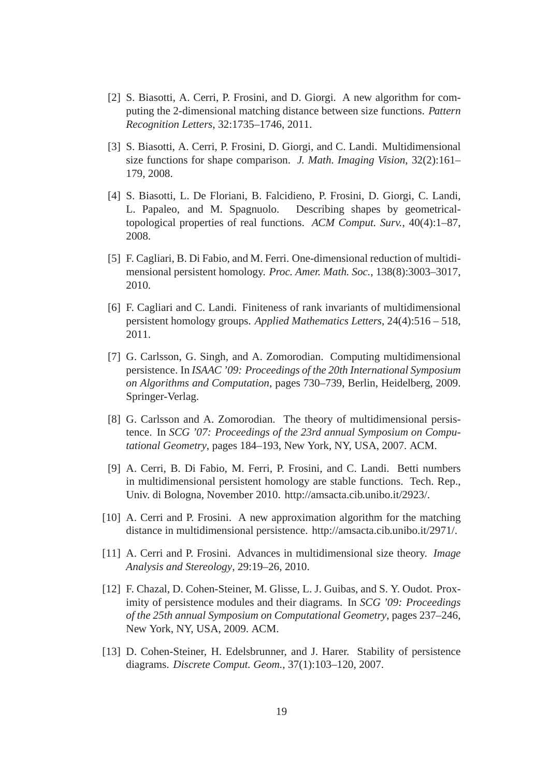- [2] S. Biasotti, A. Cerri, P. Frosini, and D. Giorgi. A new algorithm for computing the 2-dimensional matching distance between size functions. *Pattern Recognition Letters*, 32:1735–1746, 2011.
- [3] S. Biasotti, A. Cerri, P. Frosini, D. Giorgi, and C. Landi. Multidimensional size functions for shape comparison. *J. Math. Imaging Vision*, 32(2):161– 179, 2008.
- [4] S. Biasotti, L. De Floriani, B. Falcidieno, P. Frosini, D. Giorgi, C. Landi, L. Papaleo, and M. Spagnuolo. Describing shapes by geometricaltopological properties of real functions. *ACM Comput. Surv.*, 40(4):1–87, 2008.
- [5] F. Cagliari, B. Di Fabio, and M. Ferri. One-dimensional reduction of multidimensional persistent homology. *Proc. Amer. Math. Soc.*, 138(8):3003–3017, 2010.
- [6] F. Cagliari and C. Landi. Finiteness of rank invariants of multidimensional persistent homology groups. *Applied Mathematics Letters*, 24(4):516 – 518, 2011.
- [7] G. Carlsson, G. Singh, and A. Zomorodian. Computing multidimensional persistence. In *ISAAC '09: Proceedings of the 20th International Symposium on Algorithms and Computation*, pages 730–739, Berlin, Heidelberg, 2009. Springer-Verlag.
- [8] G. Carlsson and A. Zomorodian. The theory of multidimensional persistence. In *SCG '07: Proceedings of the 23rd annual Symposium on Computational Geometry*, pages 184–193, New York, NY, USA, 2007. ACM.
- [9] A. Cerri, B. Di Fabio, M. Ferri, P. Frosini, and C. Landi. Betti numbers in multidimensional persistent homology are stable functions. Tech. Rep., Univ. di Bologna, November 2010. http://amsacta.cib.unibo.it/2923/.
- [10] A. Cerri and P. Frosini. A new approximation algorithm for the matching distance in multidimensional persistence. http://amsacta.cib.unibo.it/2971/.
- [11] A. Cerri and P. Frosini. Advances in multidimensional size theory. *Image Analysis and Stereology*, 29:19–26, 2010.
- [12] F. Chazal, D. Cohen-Steiner, M. Glisse, L. J. Guibas, and S. Y. Oudot. Proximity of persistence modules and their diagrams. In *SCG '09: Proceedings of the 25th annual Symposium on Computational Geometry*, pages 237–246, New York, NY, USA, 2009. ACM.
- [13] D. Cohen-Steiner, H. Edelsbrunner, and J. Harer. Stability of persistence diagrams. *Discrete Comput. Geom.*, 37(1):103–120, 2007.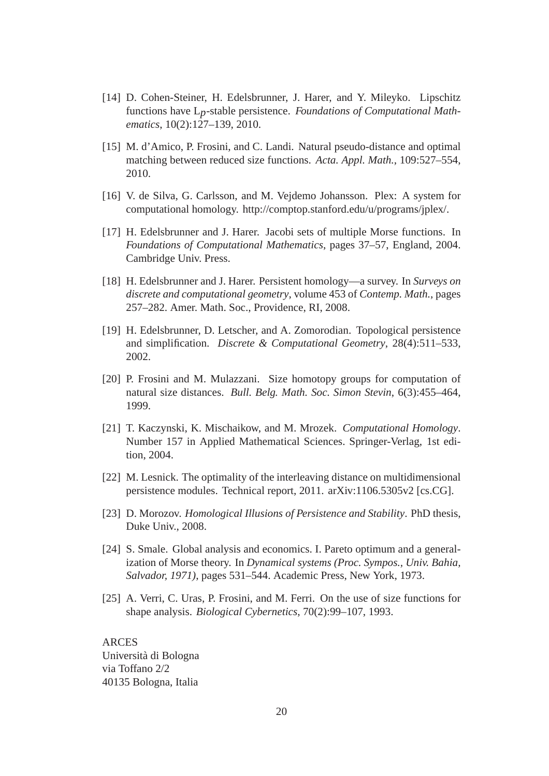- [14] D. Cohen-Steiner, H. Edelsbrunner, J. Harer, and Y. Mileyko. Lipschitz functions have L*p*-stable persistence. *Foundations of Computational Mathematics*, 10(2):127–139, 2010.
- [15] M. d'Amico, P. Frosini, and C. Landi. Natural pseudo-distance and optimal matching between reduced size functions. *Acta. Appl. Math.*, 109:527–554, 2010.
- [16] V. de Silva, G. Carlsson, and M. Vejdemo Johansson. Plex: A system for computational homology. http://comptop.stanford.edu/u/programs/jplex/.
- [17] H. Edelsbrunner and J. Harer. Jacobi sets of multiple Morse functions. In *Foundations of Computational Mathematics*, pages 37–57, England, 2004. Cambridge Univ. Press.
- [18] H. Edelsbrunner and J. Harer. Persistent homology—a survey. In *Surveys on discrete and computational geometry*, volume 453 of *Contemp. Math.*, pages 257–282. Amer. Math. Soc., Providence, RI, 2008.
- [19] H. Edelsbrunner, D. Letscher, and A. Zomorodian. Topological persistence and simplification. *Discrete & Computational Geometry*, 28(4):511–533, 2002.
- [20] P. Frosini and M. Mulazzani. Size homotopy groups for computation of natural size distances. *Bull. Belg. Math. Soc. Simon Stevin*, 6(3):455–464, 1999.
- [21] T. Kaczynski, K. Mischaikow, and M. Mrozek. *Computational Homology*. Number 157 in Applied Mathematical Sciences. Springer-Verlag, 1st edition, 2004.
- [22] M. Lesnick. The optimality of the interleaving distance on multidimensional persistence modules. Technical report, 2011. arXiv:1106.5305v2 [cs.CG].
- [23] D. Morozov. *Homological Illusions of Persistence and Stability*. PhD thesis, Duke Univ., 2008.
- [24] S. Smale. Global analysis and economics. I. Pareto optimum and a generalization of Morse theory. In *Dynamical systems (Proc. Sympos., Univ. Bahia, Salvador, 1971)*, pages 531–544. Academic Press, New York, 1973.
- [25] A. Verri, C. Uras, P. Frosini, and M. Ferri. On the use of size functions for shape analysis. *Biological Cybernetics*, 70(2):99–107, 1993.

ARCES Universita di Bologna ` via Toffano 2/2 40135 Bologna, Italia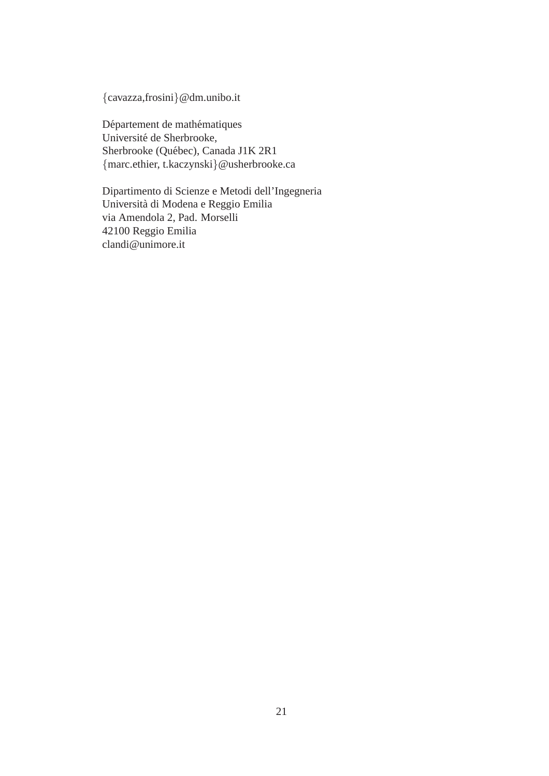{cavazza,frosini}@dm.unibo.it

Département de mathématiques Universite de Sherbrooke, ´ Sherbrooke (Québec), Canada J1K 2R1 {marc.ethier, t.kaczynski}@usherbrooke.ca

Dipartimento di Scienze e Metodi dell'Ingegneria Universita di Modena e Reggio Emilia ` via Amendola 2, Pad. Morselli 42100 Reggio Emilia clandi@unimore.it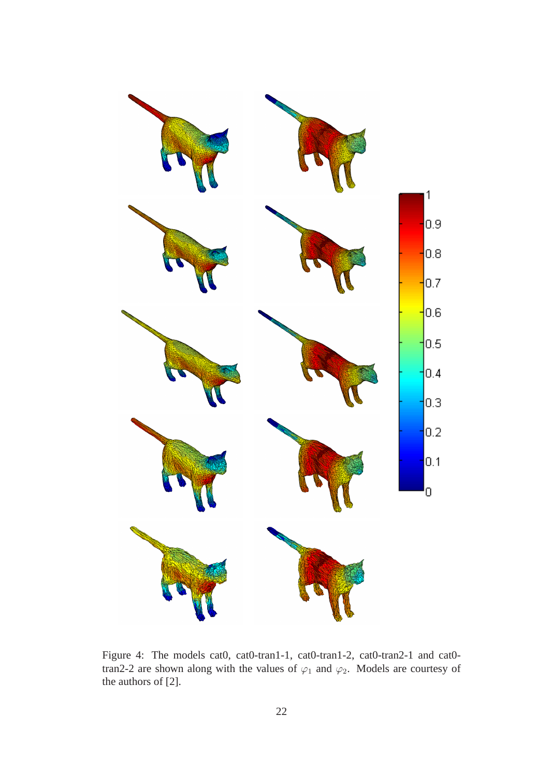

Figure 4: The models cat0, cat0-tran1-1, cat0-tran1-2, cat0-tran2-1 and cat0 tran2-2 are shown along with the values of  $\varphi_1$  and  $\varphi_2$ . Models are courtesy of the authors of [2].